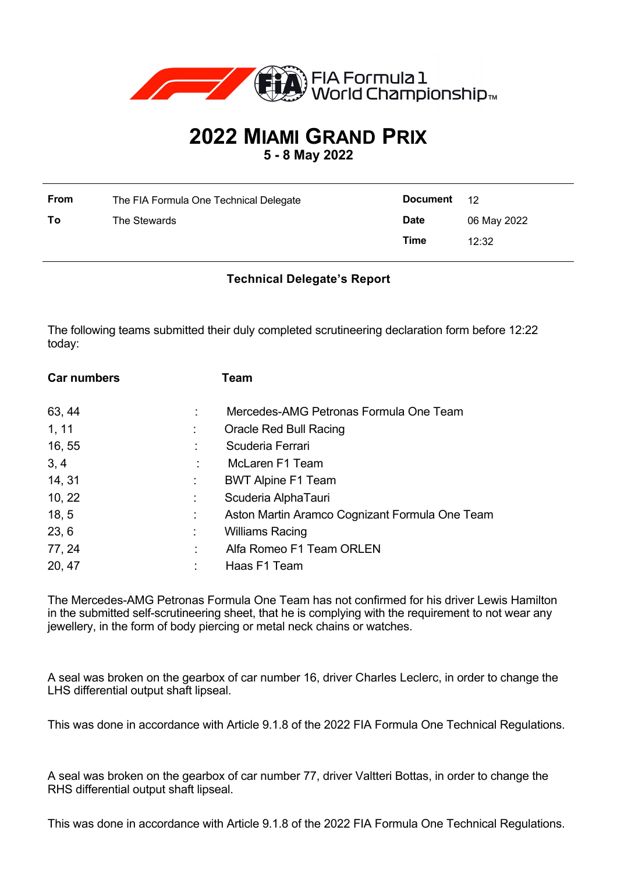

## **2022 MIAMI GRAND PRIX**

**5 - 8 May 2022**

| <b>From</b> | The FIA Formula One Technical Delegate | Document 12 |             |
|-------------|----------------------------------------|-------------|-------------|
| To          | The Stewards                           | <b>Date</b> | 06 May 2022 |
|             |                                        | Time        | 12:32       |

## **Technical Delegate's Report**

The following teams submitted their duly completed scrutineering declaration form before 12:22 today:

| <b>Car numbers</b> |    | Team                                           |
|--------------------|----|------------------------------------------------|
| 63, 44             |    | Mercedes-AMG Petronas Formula One Team         |
| 1, 11              |    | Oracle Red Bull Racing                         |
| 16, 55             |    | Scuderia Ferrari                               |
| 3, 4               |    | McLaren F1 Team                                |
| 14, 31             | ÷. | <b>BWT Alpine F1 Team</b>                      |
| 10, 22             | ÷. | Scuderia AlphaTauri                            |
| 18, 5              | ÷  | Aston Martin Aramco Cognizant Formula One Team |
| 23, 6              |    | <b>Williams Racing</b>                         |
| 77, 24             | ÷  | Alfa Romeo F1 Team ORLEN                       |
| 20, 47             |    | Haas F1 Team                                   |

The Mercedes-AMG Petronas Formula One Team has not confirmed for his driver Lewis Hamilton in the submitted self-scrutineering sheet, that he is complying with the requirement to not wear any jewellery, in the form of body piercing or metal neck chains or watches.

A seal was broken on the gearbox of car number 16, driver Charles Leclerc, in order to change the LHS differential output shaft lipseal.

This was done in accordance with Article 9.1.8 of the 2022 FIA Formula One Technical Regulations.

A seal was broken on the gearbox of car number 77, driver Valtteri Bottas, in order to change the RHS differential output shaft lipseal.

This was done in accordance with Article 9.1.8 of the 2022 FIA Formula One Technical Regulations.